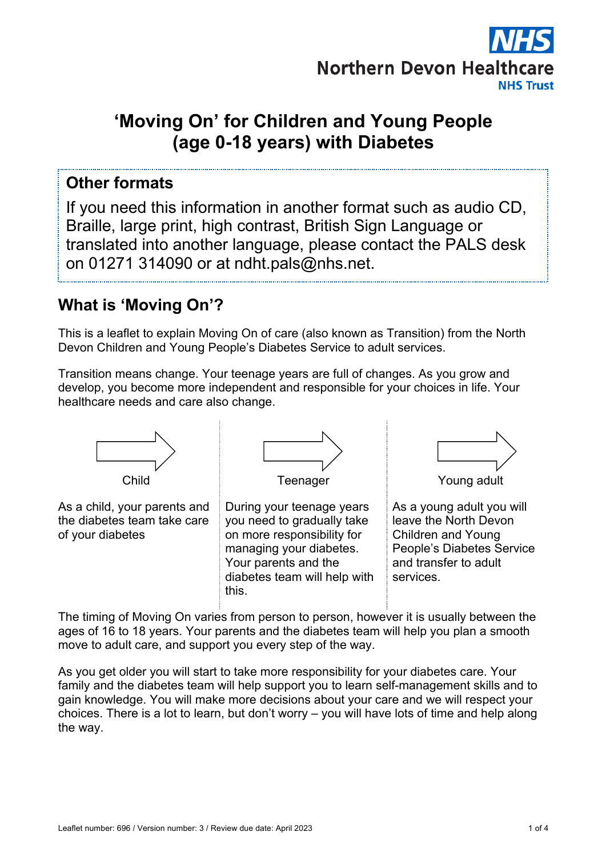

# **'Moving On' for Children and Young People (age 0-18 years) with Diabetes**

#### **Other formats**

If you need this information in another format such as audio CD, Braille, large print, high contrast, British Sign Language or translated into another language, please contact the PALS desk on 01271 314090 or at ndht.pals@nhs.net.

#### **What is 'Moving On'?**

This is a leaflet to explain Moving On of care (also known as Transition) from the North Devon Children and Young People's Diabetes Service to adult services.

Transition means change. Your teenage years are full of changes. As you grow and develop, you become more independent and responsible for your choices in life. Your healthcare needs and care also change.



The timing of Moving On varies from person to person, however it is usually between the ages of 16 to 18 years. Your parents and the diabetes team will help you plan a smooth move to adult care, and support you every step of the way.

As you get older you will start to take more responsibility for your diabetes care. Your family and the diabetes team will help support you to learn self-management skills and to gain knowledge. You will make more decisions about your care and we will respect your choices. There is a lot to learn, but don't worry – you will have lots of time and help along the way.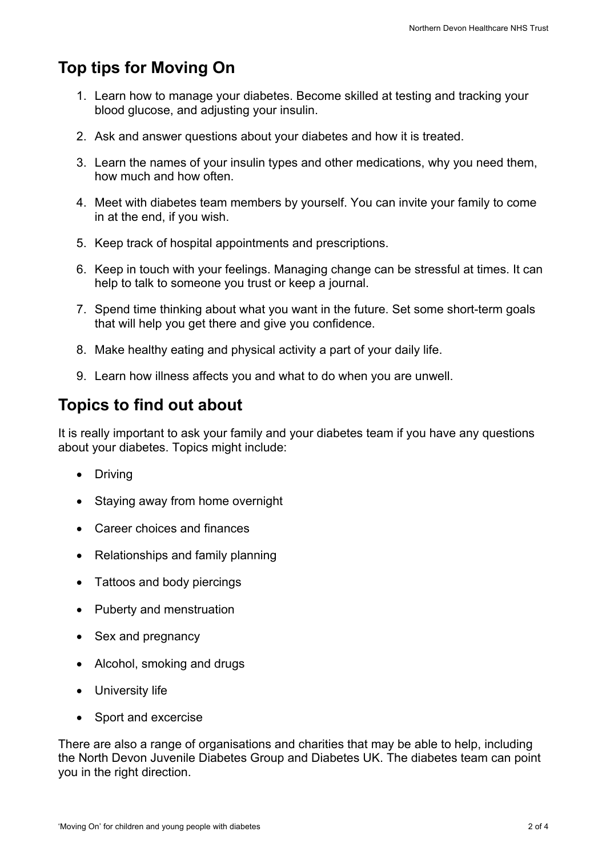### **Top tips for Moving On**

- 1. Learn how to manage your diabetes. Become skilled at testing and tracking your blood glucose, and adjusting your insulin.
- 2. Ask and answer questions about your diabetes and how it is treated.
- 3. Learn the names of your insulin types and other medications, why you need them, how much and how often.
- 4. Meet with diabetes team members by yourself. You can invite your family to come in at the end, if you wish.
- 5. Keep track of hospital appointments and prescriptions.
- 6. Keep in touch with your feelings. Managing change can be stressful at times. It can help to talk to someone you trust or keep a journal.
- 7. Spend time thinking about what you want in the future. Set some short-term goals that will help you get there and give you confidence.
- 8. Make healthy eating and physical activity a part of your daily life.
- 9. Learn how illness affects you and what to do when you are unwell.

#### **Topics to find out about**

It is really important to ask your family and your diabetes team if you have any questions about your diabetes. Topics might include:

- Driving
- Staying away from home overnight
- Career choices and finances
- Relationships and family planning
- Tattoos and body piercings
- Puberty and menstruation
- Sex and pregnancy
- Alcohol, smoking and drugs
- University life
- Sport and excercise

There are also a range of organisations and charities that may be able to help, including the North Devon Juvenile Diabetes Group and Diabetes UK. The diabetes team can point you in the right direction.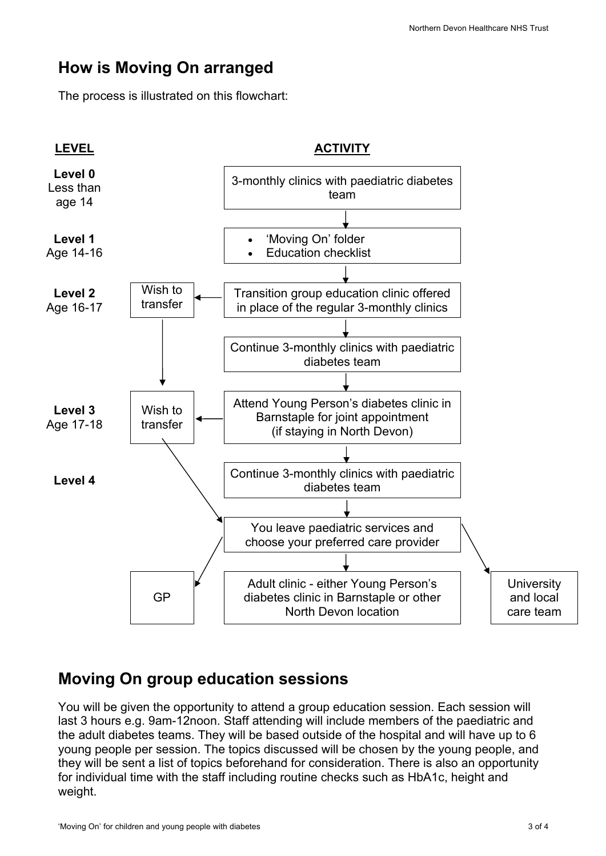### **How is Moving On arranged**

The process is illustrated on this flowchart:



#### **Moving On group education sessions**

You will be given the opportunity to attend a group education session. Each session will last 3 hours e.g. 9am-12noon. Staff attending will include members of the paediatric and the adult diabetes teams. They will be based outside of the hospital and will have up to 6 young people per session. The topics discussed will be chosen by the young people, and they will be sent a list of topics beforehand for consideration. There is also an opportunity for individual time with the staff including routine checks such as HbA1c, height and weight.